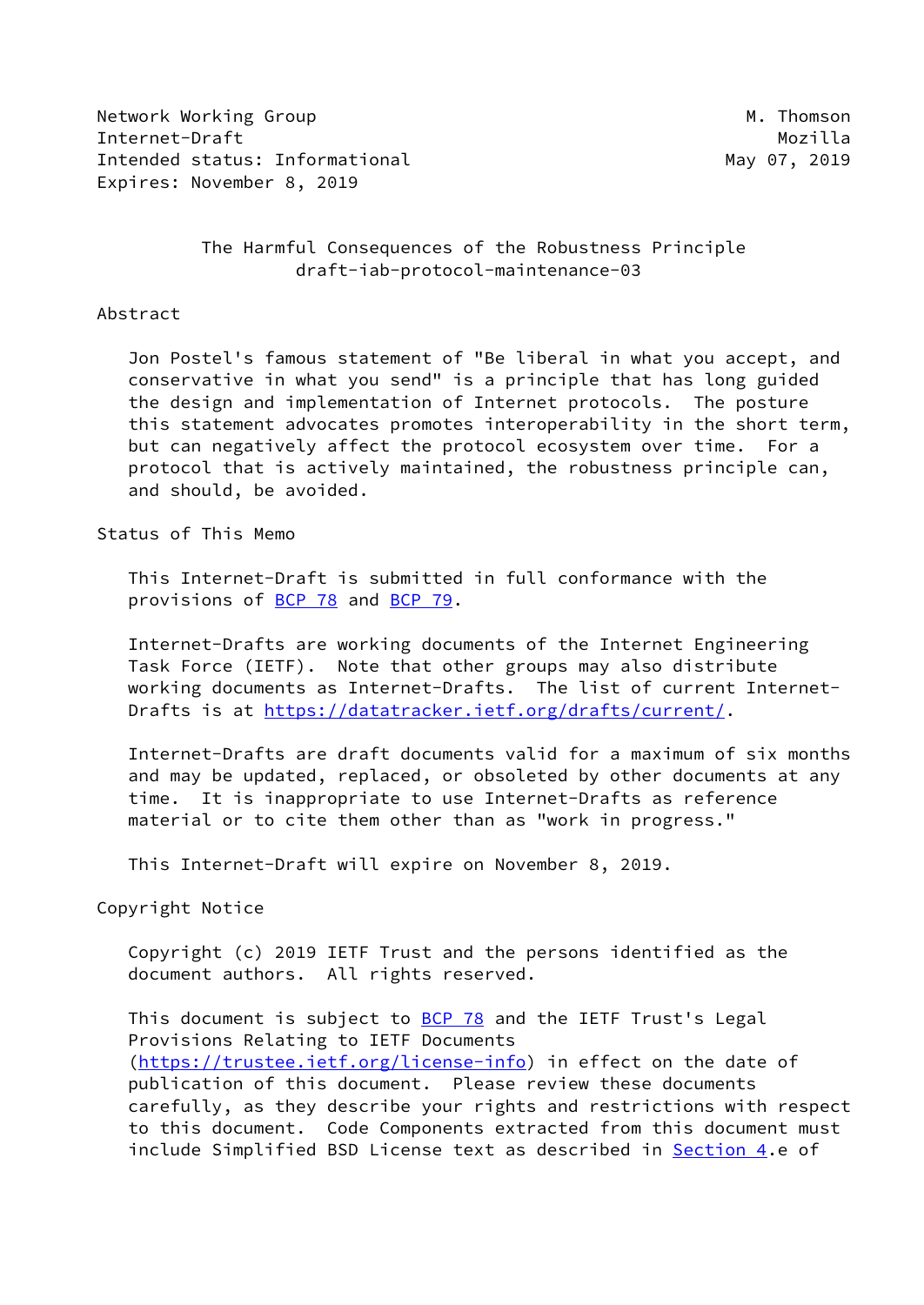Network Working Group Manuscript Communication of the Muslim Manuscript Manuscript Manuscript Manuscript Manuscri Internet-Draft Mozilla Intended status: Informational May 07, 2019 Expires: November 8, 2019

# The Harmful Consequences of the Robustness Principle draft-iab-protocol-maintenance-03

#### Abstract

 Jon Postel's famous statement of "Be liberal in what you accept, and conservative in what you send" is a principle that has long guided the design and implementation of Internet protocols. The posture this statement advocates promotes interoperability in the short term, but can negatively affect the protocol ecosystem over time. For a protocol that is actively maintained, the robustness principle can, and should, be avoided.

#### Status of This Memo

 This Internet-Draft is submitted in full conformance with the provisions of [BCP 78](https://datatracker.ietf.org/doc/pdf/bcp78) and [BCP 79](https://datatracker.ietf.org/doc/pdf/bcp79).

 Internet-Drafts are working documents of the Internet Engineering Task Force (IETF). Note that other groups may also distribute working documents as Internet-Drafts. The list of current Internet- Drafts is at<https://datatracker.ietf.org/drafts/current/>.

 Internet-Drafts are draft documents valid for a maximum of six months and may be updated, replaced, or obsoleted by other documents at any time. It is inappropriate to use Internet-Drafts as reference material or to cite them other than as "work in progress."

This Internet-Draft will expire on November 8, 2019.

### Copyright Notice

 Copyright (c) 2019 IETF Trust and the persons identified as the document authors. All rights reserved.

This document is subject to **[BCP 78](https://datatracker.ietf.org/doc/pdf/bcp78)** and the IETF Trust's Legal Provisions Relating to IETF Documents [\(https://trustee.ietf.org/license-info](https://trustee.ietf.org/license-info)) in effect on the date of publication of this document. Please review these documents carefully, as they describe your rights and restrictions with respect to this document. Code Components extracted from this document must include Simplified BSD License text as described in [Section 4.](#page-5-0)e of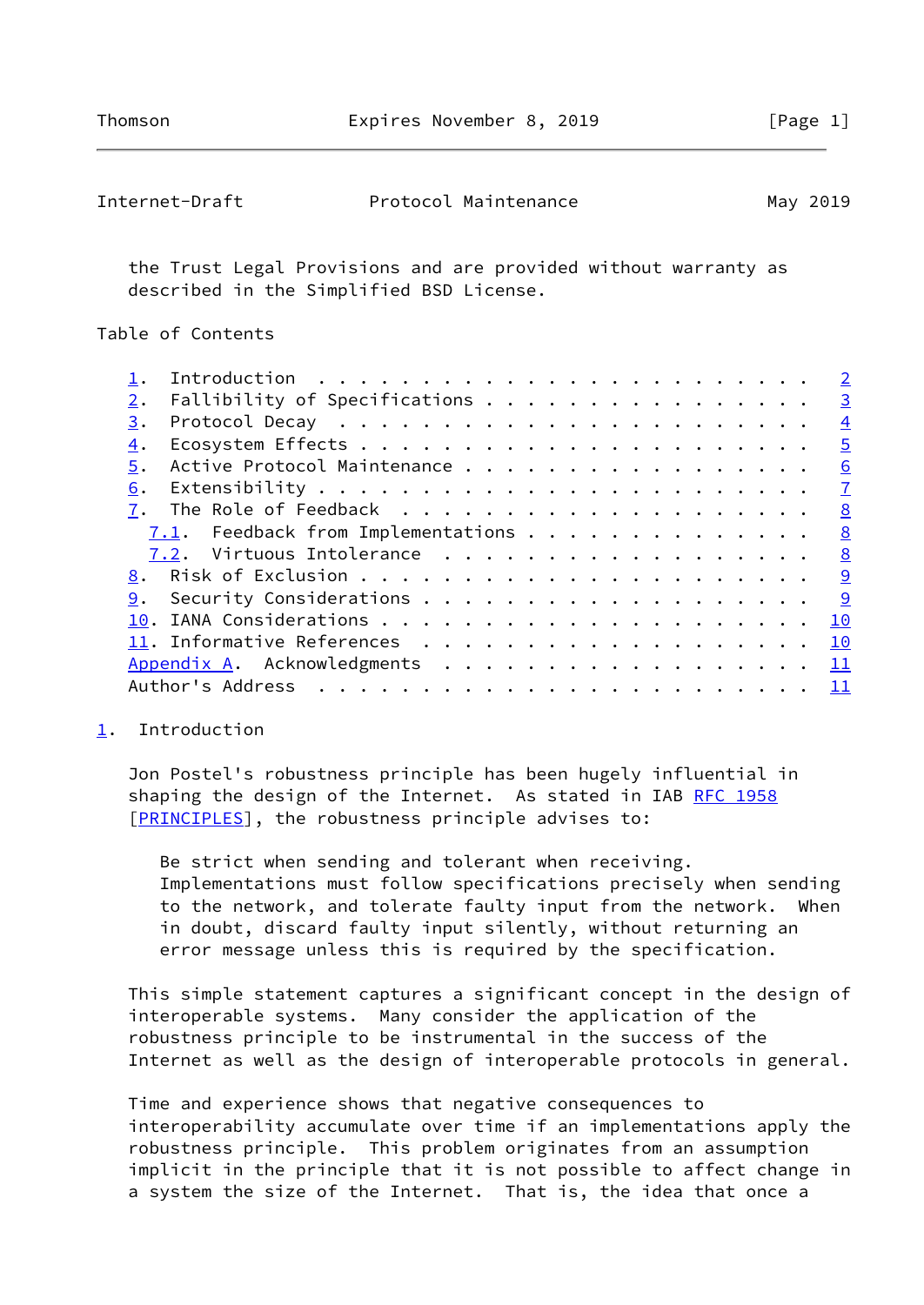<span id="page-1-1"></span>

| Internet-Draft | Protocol Maintenance | May 2019 |
|----------------|----------------------|----------|
|----------------|----------------------|----------|

 the Trust Legal Provisions and are provided without warranty as described in the Simplified BSD License.

Table of Contents

|    |                               |  |  |  |  |  |  |  |  |  | $\overline{2}$ |
|----|-------------------------------|--|--|--|--|--|--|--|--|--|----------------|
| 2. | Fallibility of Specifications |  |  |  |  |  |  |  |  |  | $\overline{3}$ |
| 3. |                               |  |  |  |  |  |  |  |  |  | $\overline{4}$ |
| 4. |                               |  |  |  |  |  |  |  |  |  | $\overline{5}$ |
| 5. | Active Protocol Maintenance   |  |  |  |  |  |  |  |  |  | 6              |
| 6. |                               |  |  |  |  |  |  |  |  |  | $\mathbf{Z}$   |
|    |                               |  |  |  |  |  |  |  |  |  | 8              |
|    |                               |  |  |  |  |  |  |  |  |  | 8              |
|    | 7.2. Virtuous Intolerance     |  |  |  |  |  |  |  |  |  | 8              |
|    |                               |  |  |  |  |  |  |  |  |  | <u>_9</u>      |
| 9. |                               |  |  |  |  |  |  |  |  |  | <u>  ୨</u>     |
|    |                               |  |  |  |  |  |  |  |  |  | 10             |
|    |                               |  |  |  |  |  |  |  |  |  | 10             |
|    | Appendix A. Acknowledgments   |  |  |  |  |  |  |  |  |  | 11             |
|    | Author's Address              |  |  |  |  |  |  |  |  |  | 11             |
|    |                               |  |  |  |  |  |  |  |  |  |                |

## <span id="page-1-0"></span>[1](#page-1-0). Introduction

 Jon Postel's robustness principle has been hugely influential in shaping the design of the Internet. As stated in IAB [RFC 1958](https://datatracker.ietf.org/doc/pdf/rfc1958) [\[PRINCIPLES\]](#page-11-1), the robustness principle advises to:

 Be strict when sending and tolerant when receiving. Implementations must follow specifications precisely when sending to the network, and tolerate faulty input from the network. When in doubt, discard faulty input silently, without returning an error message unless this is required by the specification.

 This simple statement captures a significant concept in the design of interoperable systems. Many consider the application of the robustness principle to be instrumental in the success of the Internet as well as the design of interoperable protocols in general.

 Time and experience shows that negative consequences to interoperability accumulate over time if an implementations apply the robustness principle. This problem originates from an assumption implicit in the principle that it is not possible to affect change in a system the size of the Internet. That is, the idea that once a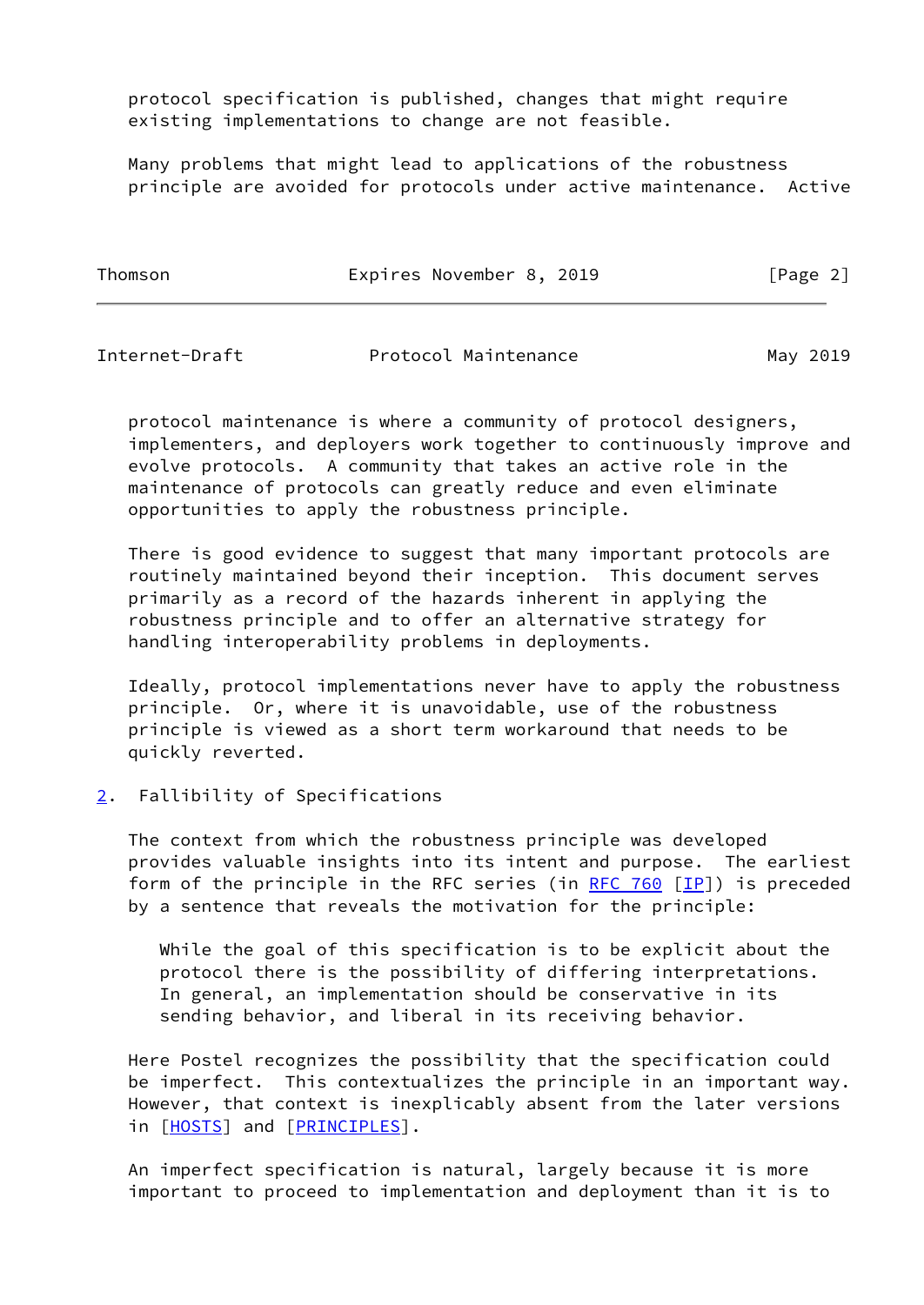protocol specification is published, changes that might require existing implementations to change are not feasible.

 Many problems that might lead to applications of the robustness principle are avoided for protocols under active maintenance. Active

| Thomson | Expires November 8, 2019 | [Page 2] |
|---------|--------------------------|----------|
|         |                          |          |

<span id="page-2-1"></span>

| Internet-Draft | Protocol Maintenance | May 2019 |
|----------------|----------------------|----------|
|----------------|----------------------|----------|

 protocol maintenance is where a community of protocol designers, implementers, and deployers work together to continuously improve and evolve protocols. A community that takes an active role in the maintenance of protocols can greatly reduce and even eliminate opportunities to apply the robustness principle.

 There is good evidence to suggest that many important protocols are routinely maintained beyond their inception. This document serves primarily as a record of the hazards inherent in applying the robustness principle and to offer an alternative strategy for handling interoperability problems in deployments.

 Ideally, protocol implementations never have to apply the robustness principle. Or, where it is unavoidable, use of the robustness principle is viewed as a short term workaround that needs to be quickly reverted.

## <span id="page-2-0"></span>[2](#page-2-0). Fallibility of Specifications

 The context from which the robustness principle was developed provides valuable insights into its intent and purpose. The earliest form of the principle in the RFC series (in [RFC 760](https://datatracker.ietf.org/doc/pdf/rfc760)  $[IP]$ ) is preceded by a sentence that reveals the motivation for the principle:

 While the goal of this specification is to be explicit about the protocol there is the possibility of differing interpretations. In general, an implementation should be conservative in its sending behavior, and liberal in its receiving behavior.

 Here Postel recognizes the possibility that the specification could be imperfect. This contextualizes the principle in an important way. However, that context is inexplicably absent from the later versions in [[HOSTS\]](#page-10-3) and [\[PRINCIPLES](#page-11-1)].

 An imperfect specification is natural, largely because it is more important to proceed to implementation and deployment than it is to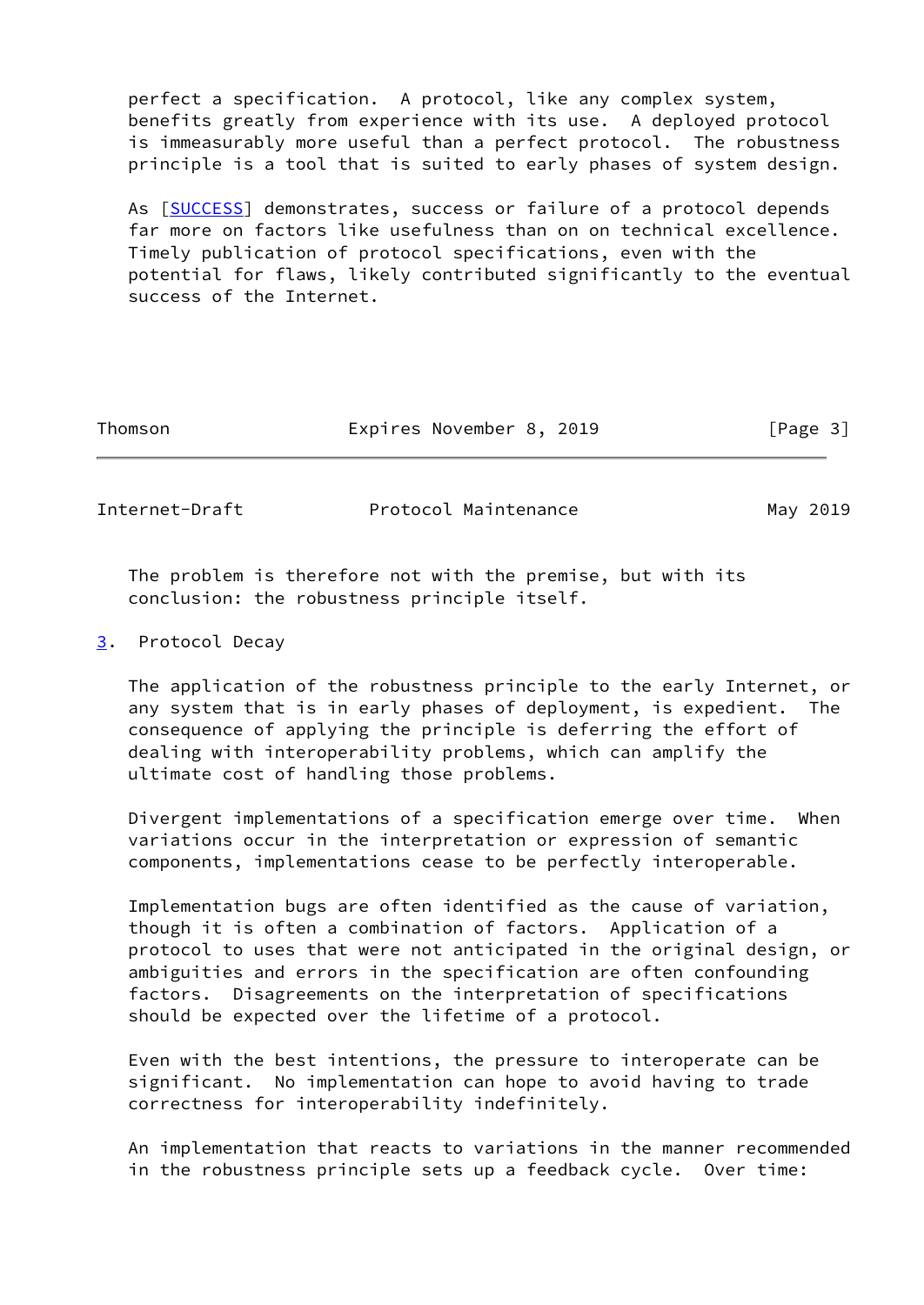perfect a specification. A protocol, like any complex system, benefits greatly from experience with its use. A deployed protocol is immeasurably more useful than a perfect protocol. The robustness principle is a tool that is suited to early phases of system design.

 As [[SUCCESS\]](#page-11-3) demonstrates, success or failure of a protocol depends far more on factors like usefulness than on on technical excellence. Timely publication of protocol specifications, even with the potential for flaws, likely contributed significantly to the eventual success of the Internet.

| Thomson | Expires November 8, 2019 | [Page 3] |
|---------|--------------------------|----------|
|         |                          |          |

<span id="page-3-1"></span>Internet-Draft **Protocol Maintenance** May 2019

 The problem is therefore not with the premise, but with its conclusion: the robustness principle itself.

<span id="page-3-0"></span>[3](#page-3-0). Protocol Decay

 The application of the robustness principle to the early Internet, or any system that is in early phases of deployment, is expedient. The consequence of applying the principle is deferring the effort of dealing with interoperability problems, which can amplify the ultimate cost of handling those problems.

 Divergent implementations of a specification emerge over time. When variations occur in the interpretation or expression of semantic components, implementations cease to be perfectly interoperable.

 Implementation bugs are often identified as the cause of variation, though it is often a combination of factors. Application of a protocol to uses that were not anticipated in the original design, or ambiguities and errors in the specification are often confounding factors. Disagreements on the interpretation of specifications should be expected over the lifetime of a protocol.

 Even with the best intentions, the pressure to interoperate can be significant. No implementation can hope to avoid having to trade correctness for interoperability indefinitely.

 An implementation that reacts to variations in the manner recommended in the robustness principle sets up a feedback cycle. Over time: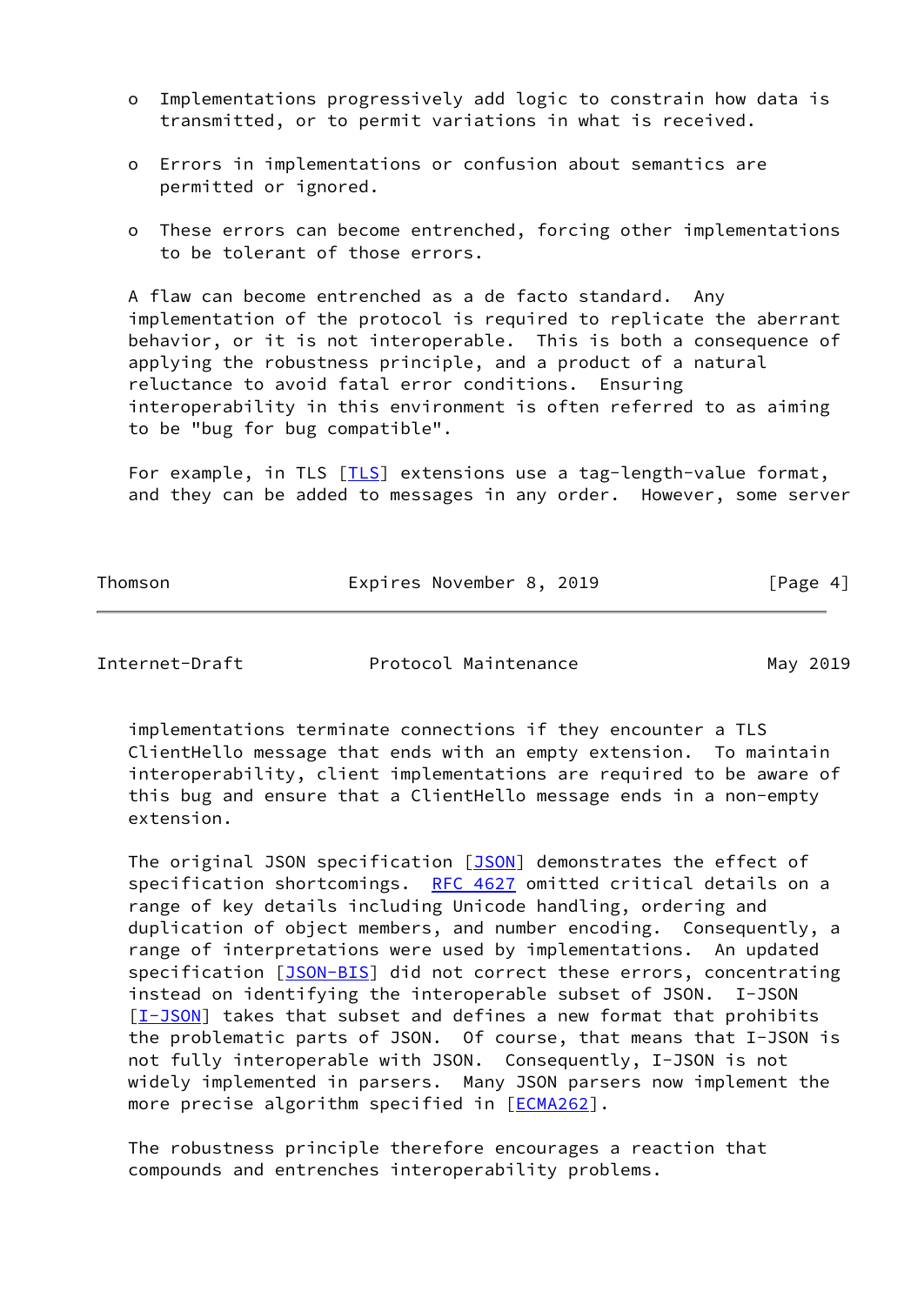- o Implementations progressively add logic to constrain how data is transmitted, or to permit variations in what is received.
- o Errors in implementations or confusion about semantics are permitted or ignored.
- o These errors can become entrenched, forcing other implementations to be tolerant of those errors.

 A flaw can become entrenched as a de facto standard. Any implementation of the protocol is required to replicate the aberrant behavior, or it is not interoperable. This is both a consequence of applying the robustness principle, and a product of a natural reluctance to avoid fatal error conditions. Ensuring interoperability in this environment is often referred to as aiming to be "bug for bug compatible".

For example, in TLS [\[TLS](#page-11-4)] extensions use a tag-length-value format, and they can be added to messages in any order. However, some server

Thomson **Expires November 8, 2019** [Page 4]

Internet-Draft **Protocol Maintenance** May 2019

 implementations terminate connections if they encounter a TLS ClientHello message that ends with an empty extension. To maintain interoperability, client implementations are required to be aware of this bug and ensure that a ClientHello message ends in a non-empty extension.

The original JSON specification [\[JSON](#page-11-5)] demonstrates the effect of specification shortcomings. [RFC 4627](https://datatracker.ietf.org/doc/pdf/rfc4627) omitted critical details on a range of key details including Unicode handling, ordering and duplication of object members, and number encoding. Consequently, a range of interpretations were used by implementations. An updated specification [[JSON-BIS\]](#page-11-6) did not correct these errors, concentrating instead on identifying the interoperable subset of JSON. I-JSON [\[I-JSON](#page-10-4)] takes that subset and defines a new format that prohibits the problematic parts of JSON. Of course, that means that I-JSON is not fully interoperable with JSON. Consequently, I-JSON is not widely implemented in parsers. Many JSON parsers now implement the more precise algorithm specified in [\[ECMA262](#page-10-5)].

 The robustness principle therefore encourages a reaction that compounds and entrenches interoperability problems.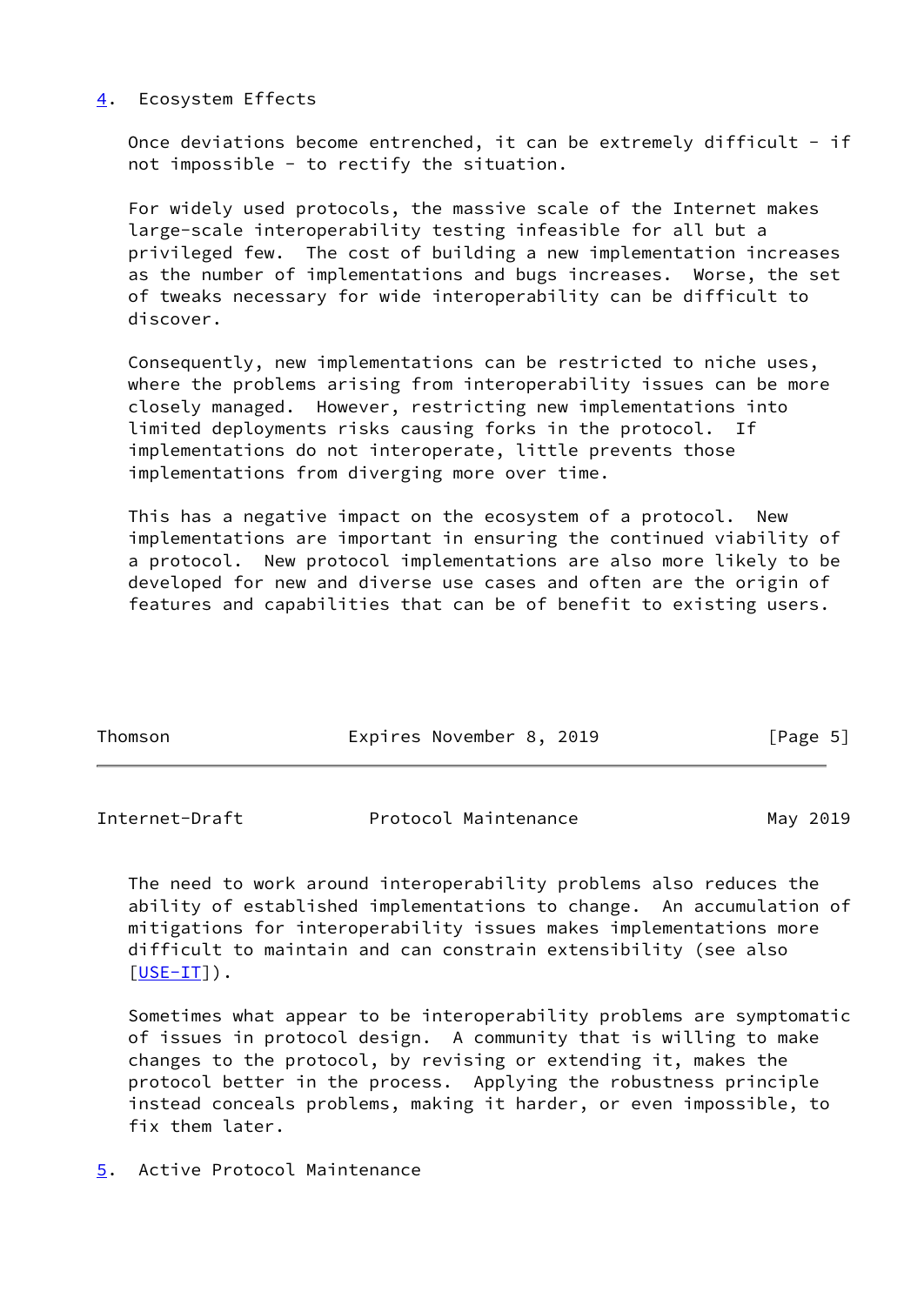### <span id="page-5-0"></span>[4](#page-5-0). Ecosystem Effects

Once deviations become entrenched, it can be extremely difficult - if not impossible - to rectify the situation.

 For widely used protocols, the massive scale of the Internet makes large-scale interoperability testing infeasible for all but a privileged few. The cost of building a new implementation increases as the number of implementations and bugs increases. Worse, the set of tweaks necessary for wide interoperability can be difficult to discover.

 Consequently, new implementations can be restricted to niche uses, where the problems arising from interoperability issues can be more closely managed. However, restricting new implementations into limited deployments risks causing forks in the protocol. If implementations do not interoperate, little prevents those implementations from diverging more over time.

 This has a negative impact on the ecosystem of a protocol. New implementations are important in ensuring the continued viability of a protocol. New protocol implementations are also more likely to be developed for new and diverse use cases and often are the origin of features and capabilities that can be of benefit to existing users.

| Thomson | Expires November 8, 2019 |  | [Page 5] |  |
|---------|--------------------------|--|----------|--|
|         |                          |  |          |  |

<span id="page-5-2"></span>

| Internet-Draft | Protocol Maintenance | May 2019 |
|----------------|----------------------|----------|
|                |                      |          |

 The need to work around interoperability problems also reduces the ability of established implementations to change. An accumulation of mitigations for interoperability issues makes implementations more difficult to maintain and can constrain extensibility (see also  $[USE-IT]$ ).

 Sometimes what appear to be interoperability problems are symptomatic of issues in protocol design. A community that is willing to make changes to the protocol, by revising or extending it, makes the protocol better in the process. Applying the robustness principle instead conceals problems, making it harder, or even impossible, to fix them later.

<span id="page-5-1"></span>[5](#page-5-1). Active Protocol Maintenance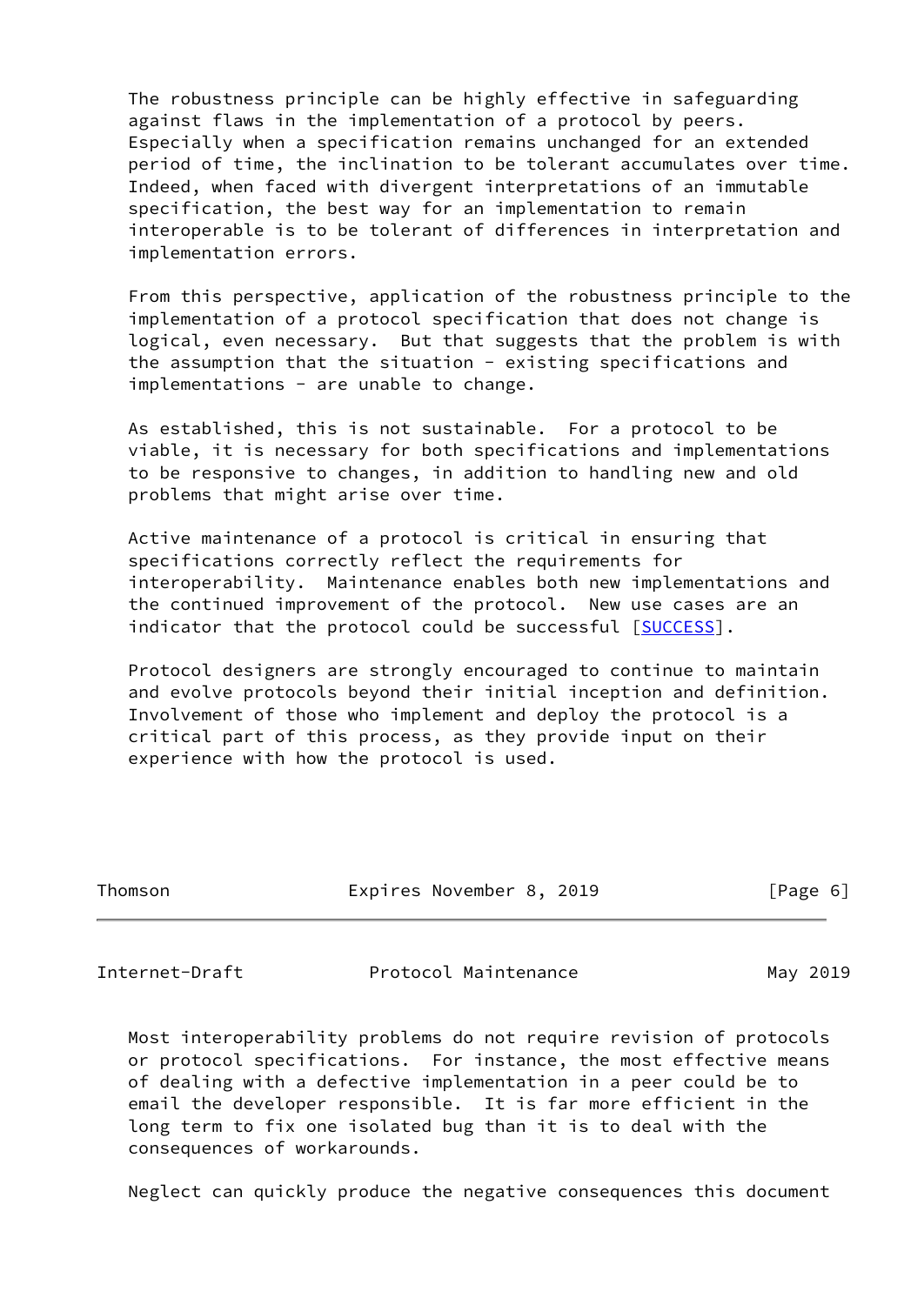The robustness principle can be highly effective in safeguarding against flaws in the implementation of a protocol by peers. Especially when a specification remains unchanged for an extended period of time, the inclination to be tolerant accumulates over time. Indeed, when faced with divergent interpretations of an immutable specification, the best way for an implementation to remain interoperable is to be tolerant of differences in interpretation and implementation errors.

 From this perspective, application of the robustness principle to the implementation of a protocol specification that does not change is logical, even necessary. But that suggests that the problem is with the assumption that the situation - existing specifications and implementations - are unable to change.

 As established, this is not sustainable. For a protocol to be viable, it is necessary for both specifications and implementations to be responsive to changes, in addition to handling new and old problems that might arise over time.

 Active maintenance of a protocol is critical in ensuring that specifications correctly reflect the requirements for interoperability. Maintenance enables both new implementations and the continued improvement of the protocol. New use cases are an indicator that the protocol could be successful [\[SUCCESS](#page-11-3)].

 Protocol designers are strongly encouraged to continue to maintain and evolve protocols beyond their initial inception and definition. Involvement of those who implement and deploy the protocol is a critical part of this process, as they provide input on their experience with how the protocol is used.

| Thomson | Expires November 8, 2019 | [Page 6] |
|---------|--------------------------|----------|
|         |                          |          |

<span id="page-6-0"></span>Internet-Draft **Protocol Maintenance** May 2019

 Most interoperability problems do not require revision of protocols or protocol specifications. For instance, the most effective means of dealing with a defective implementation in a peer could be to email the developer responsible. It is far more efficient in the long term to fix one isolated bug than it is to deal with the consequences of workarounds.

Neglect can quickly produce the negative consequences this document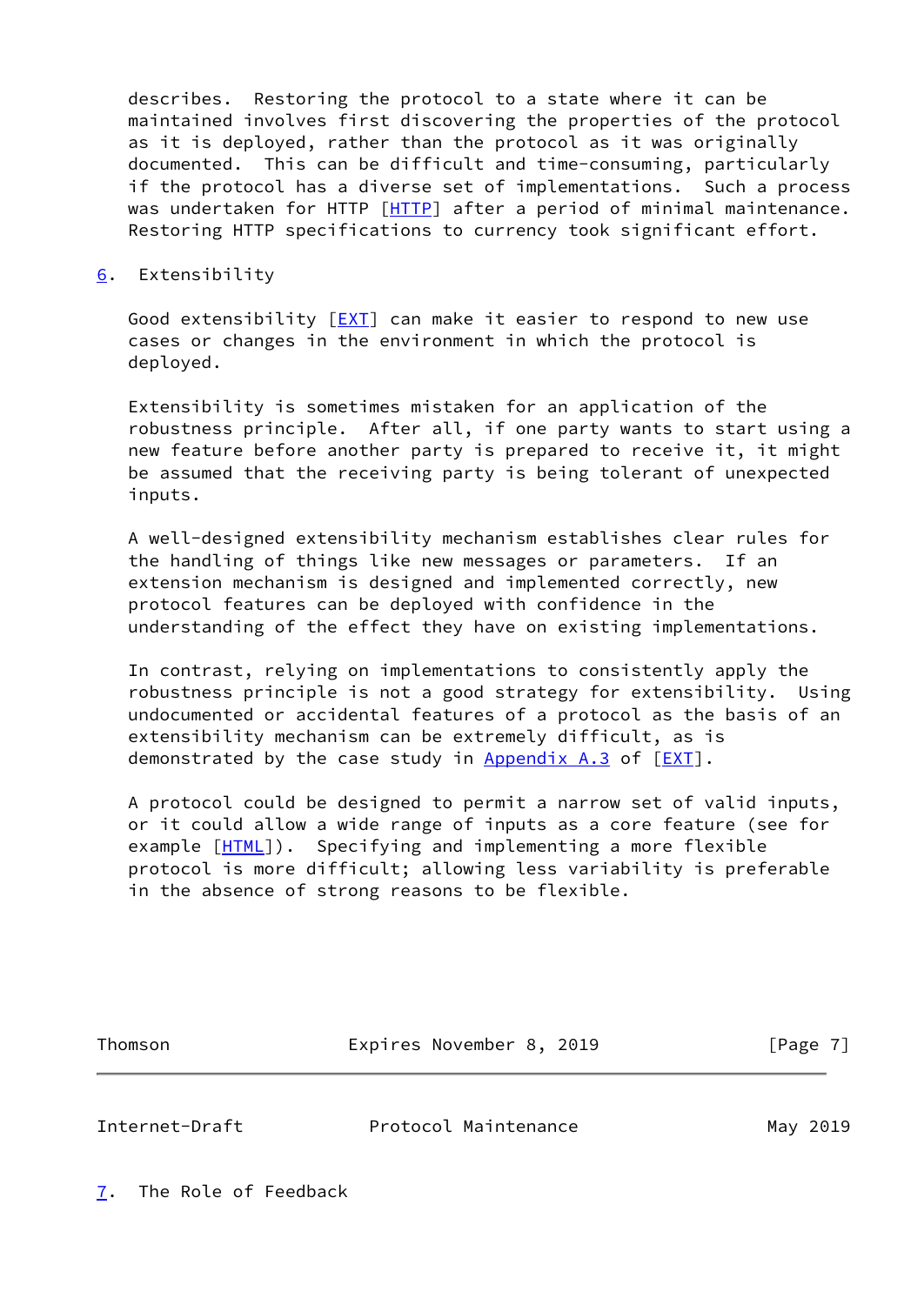describes. Restoring the protocol to a state where it can be maintained involves first discovering the properties of the protocol as it is deployed, rather than the protocol as it was originally documented. This can be difficult and time-consuming, particularly if the protocol has a diverse set of implementations. Such a process was undertaken for HTTP [\[HTTP](#page-10-6)] after a period of minimal maintenance. Restoring HTTP specifications to currency took significant effort.

#### <span id="page-7-0"></span>[6](#page-7-0). Extensibility

Good extensibility  $[EXT]$  $[EXT]$  can make it easier to respond to new use cases or changes in the environment in which the protocol is deployed.

 Extensibility is sometimes mistaken for an application of the robustness principle. After all, if one party wants to start using a new feature before another party is prepared to receive it, it might be assumed that the receiving party is being tolerant of unexpected inputs.

 A well-designed extensibility mechanism establishes clear rules for the handling of things like new messages or parameters. If an extension mechanism is designed and implemented correctly, new protocol features can be deployed with confidence in the understanding of the effect they have on existing implementations.

 In contrast, relying on implementations to consistently apply the robustness principle is not a good strategy for extensibility. Using undocumented or accidental features of a protocol as the basis of an extensibility mechanism can be extremely difficult, as is demonstrated by the case study in  $Appendix A.3$  of  $[EXT]$  $[EXT]$  $[EXT]$ .

 A protocol could be designed to permit a narrow set of valid inputs, or it could allow a wide range of inputs as a core feature (see for example [\[HTML](#page-10-8)]). Specifying and implementing a more flexible protocol is more difficult; allowing less variability is preferable in the absence of strong reasons to be flexible.

Thomson **Expires November 8, 2019** [Page 7]

<span id="page-7-2"></span>Internet-Draft Protocol Maintenance May 2019

<span id="page-7-1"></span>[7](#page-7-1). The Role of Feedback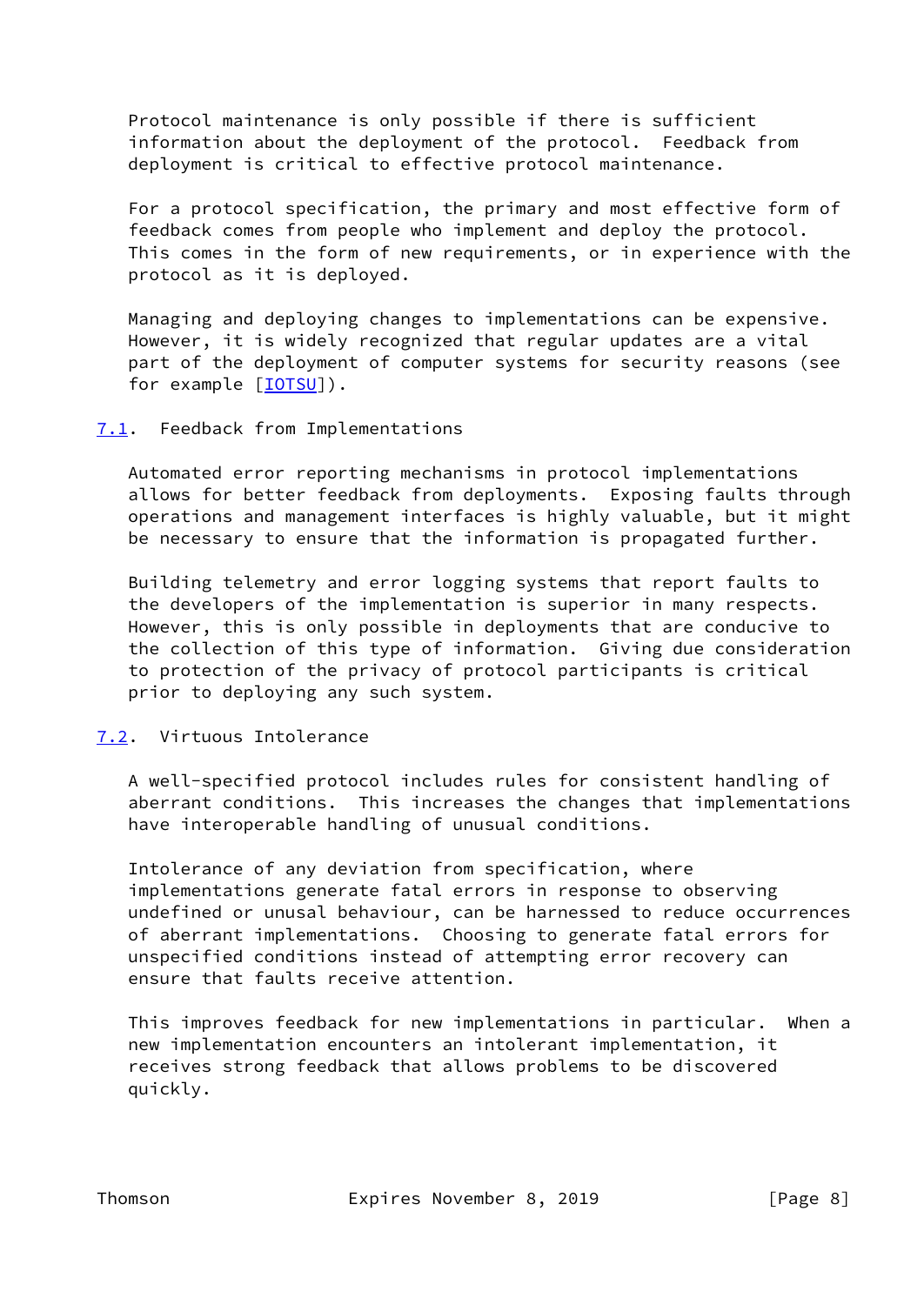Protocol maintenance is only possible if there is sufficient information about the deployment of the protocol. Feedback from deployment is critical to effective protocol maintenance.

 For a protocol specification, the primary and most effective form of feedback comes from people who implement and deploy the protocol. This comes in the form of new requirements, or in experience with the protocol as it is deployed.

 Managing and deploying changes to implementations can be expensive. However, it is widely recognized that regular updates are a vital part of the deployment of computer systems for security reasons (see for example [\[IOTSU](#page-10-9)]).

## <span id="page-8-0"></span>[7.1](#page-8-0). Feedback from Implementations

 Automated error reporting mechanisms in protocol implementations allows for better feedback from deployments. Exposing faults through operations and management interfaces is highly valuable, but it might be necessary to ensure that the information is propagated further.

 Building telemetry and error logging systems that report faults to the developers of the implementation is superior in many respects. However, this is only possible in deployments that are conducive to the collection of this type of information. Giving due consideration to protection of the privacy of protocol participants is critical prior to deploying any such system.

# <span id="page-8-1"></span>[7.2](#page-8-1). Virtuous Intolerance

 A well-specified protocol includes rules for consistent handling of aberrant conditions. This increases the changes that implementations have interoperable handling of unusual conditions.

 Intolerance of any deviation from specification, where implementations generate fatal errors in response to observing undefined or unusal behaviour, can be harnessed to reduce occurrences of aberrant implementations. Choosing to generate fatal errors for unspecified conditions instead of attempting error recovery can ensure that faults receive attention.

 This improves feedback for new implementations in particular. When a new implementation encounters an intolerant implementation, it receives strong feedback that allows problems to be discovered quickly.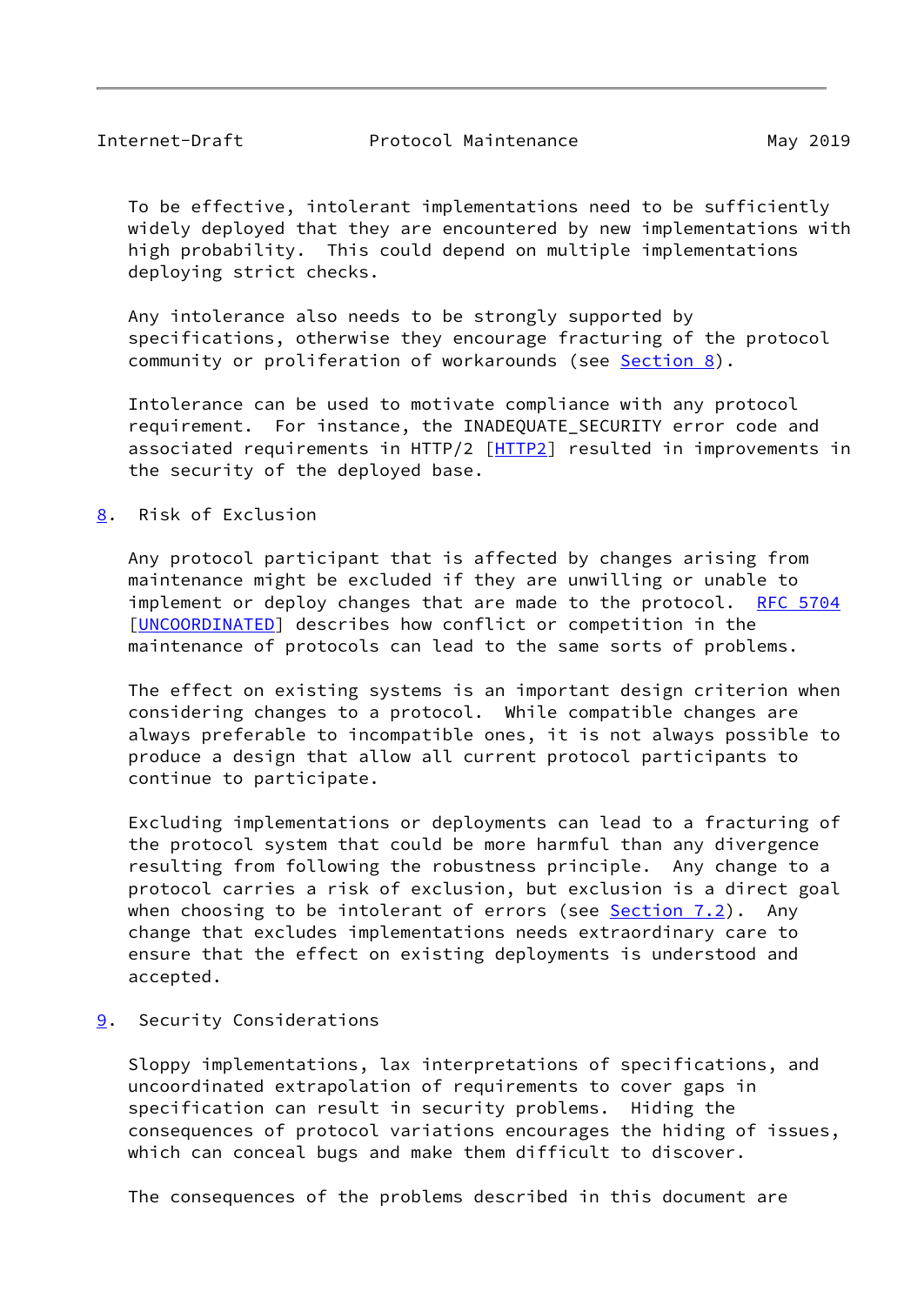<span id="page-9-1"></span> To be effective, intolerant implementations need to be sufficiently widely deployed that they are encountered by new implementations with high probability. This could depend on multiple implementations deploying strict checks.

 Any intolerance also needs to be strongly supported by specifications, otherwise they encourage fracturing of the protocol community or proliferation of workarounds (see [Section 8\)](#page-9-0).

 Intolerance can be used to motivate compliance with any protocol requirement. For instance, the INADEQUATE\_SECURITY error code and associated requirements in HTTP/2 [[HTTP2\]](#page-10-10) resulted in improvements in the security of the deployed base.

<span id="page-9-0"></span>[8](#page-9-0). Risk of Exclusion

 Any protocol participant that is affected by changes arising from maintenance might be excluded if they are unwilling or unable to implement or deploy changes that are made to the protocol. [RFC 5704](https://datatracker.ietf.org/doc/pdf/rfc5704) [\[UNCOORDINATED](#page-11-8)] describes how conflict or competition in the maintenance of protocols can lead to the same sorts of problems.

 The effect on existing systems is an important design criterion when considering changes to a protocol. While compatible changes are always preferable to incompatible ones, it is not always possible to produce a design that allow all current protocol participants to continue to participate.

 Excluding implementations or deployments can lead to a fracturing of the protocol system that could be more harmful than any divergence resulting from following the robustness principle. Any change to a protocol carries a risk of exclusion, but exclusion is a direct goal when choosing to be intolerant of errors (see  $Section 7.2$ ). Any change that excludes implementations needs extraordinary care to ensure that the effect on existing deployments is understood and accepted.

<span id="page-9-2"></span>[9](#page-9-2). Security Considerations

 Sloppy implementations, lax interpretations of specifications, and uncoordinated extrapolation of requirements to cover gaps in specification can result in security problems. Hiding the consequences of protocol variations encourages the hiding of issues, which can conceal bugs and make them difficult to discover.

The consequences of the problems described in this document are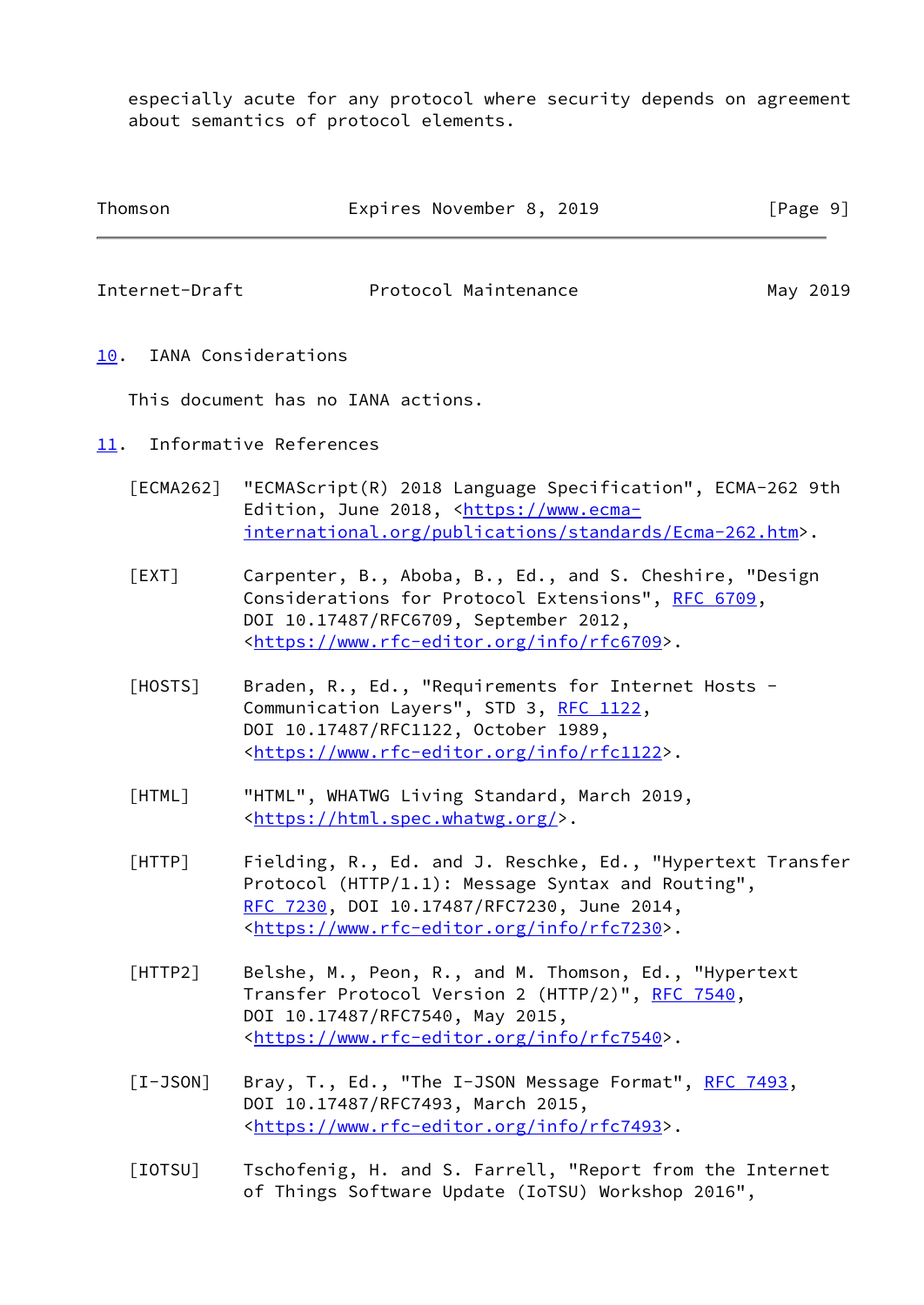especially acute for any protocol where security depends on agreement about semantics of protocol elements.

<span id="page-10-7"></span><span id="page-10-5"></span><span id="page-10-2"></span><span id="page-10-1"></span><span id="page-10-0"></span>

| Thomson        | Expires November 8, 2019                                                                                                                                                                                                     | [Page 9] |
|----------------|------------------------------------------------------------------------------------------------------------------------------------------------------------------------------------------------------------------------------|----------|
| Internet-Draft | Protocol Maintenance                                                                                                                                                                                                         | May 2019 |
| 10.            | IANA Considerations                                                                                                                                                                                                          |          |
|                | This document has no IANA actions.                                                                                                                                                                                           |          |
| 11.            | Informative References                                                                                                                                                                                                       |          |
| [ECMA262]      | "ECMAScript(R) 2018 Language Specification", ECMA-262 9th<br>Edition, June 2018, <https: www.ecma-<br="">international.org/publications/standards/Ecma-262.htm&gt;.</https:>                                                 |          |
| [EXT]          | Carpenter, B., Aboba, B., Ed., and S. Cheshire, "Design<br>Considerations for Protocol Extensions", RFC 6709,<br>DOI 10.17487/RFC6709, September 2012,<br><https: info="" rfc6709="" www.rfc-editor.org="">.</https:>        |          |
| [HOSTS]        | Braden, R., Ed., "Requirements for Internet Hosts -<br>Communication Layers", STD 3, RFC 1122,<br>DOI 10.17487/RFC1122, October 1989,<br><https: info="" rfc1122="" www.rfc-editor.org="">.</https:>                         |          |
| [HTML]         | "HTML", WHATWG Living Standard, March 2019,<br><https: html.spec.whatwg.org=""></https:> .                                                                                                                                   |          |
| $[$ HTTP $]$   | Fielding, R., Ed. and J. Reschke, Ed., "Hypertext Transfer<br>Protocol (HTTP/1.1): Message Syntax and Routing",<br>RFC 7230, DOI 10.17487/RFC7230, June 2014,<br><https: info="" rfc7230="" www.rfc-editor.org="">.</https:> |          |
| [HTTP2]        | Belshe, M., Peon, R., and M. Thomson, Ed., "Hypertext<br>Transfer Protocol Version 2 (HTTP/2)", RFC 7540,<br>DOI 10.17487/RFC7540, May 2015,<br><https: info="" rfc7540="" www.rfc-editor.org="">.</https:>                  |          |
| $[I-JSON]$     | Bray, T., Ed., "The I-JSON Message Format", RFC 7493,<br>DOI 10.17487/RFC7493, March 2015,<br><https: info="" rfc7493="" www.rfc-editor.org="">.</https:>                                                                    |          |

<span id="page-10-10"></span><span id="page-10-9"></span><span id="page-10-8"></span><span id="page-10-6"></span><span id="page-10-4"></span><span id="page-10-3"></span> [IOTSU] Tschofenig, H. and S. Farrell, "Report from the Internet of Things Software Update (IoTSU) Workshop 2016",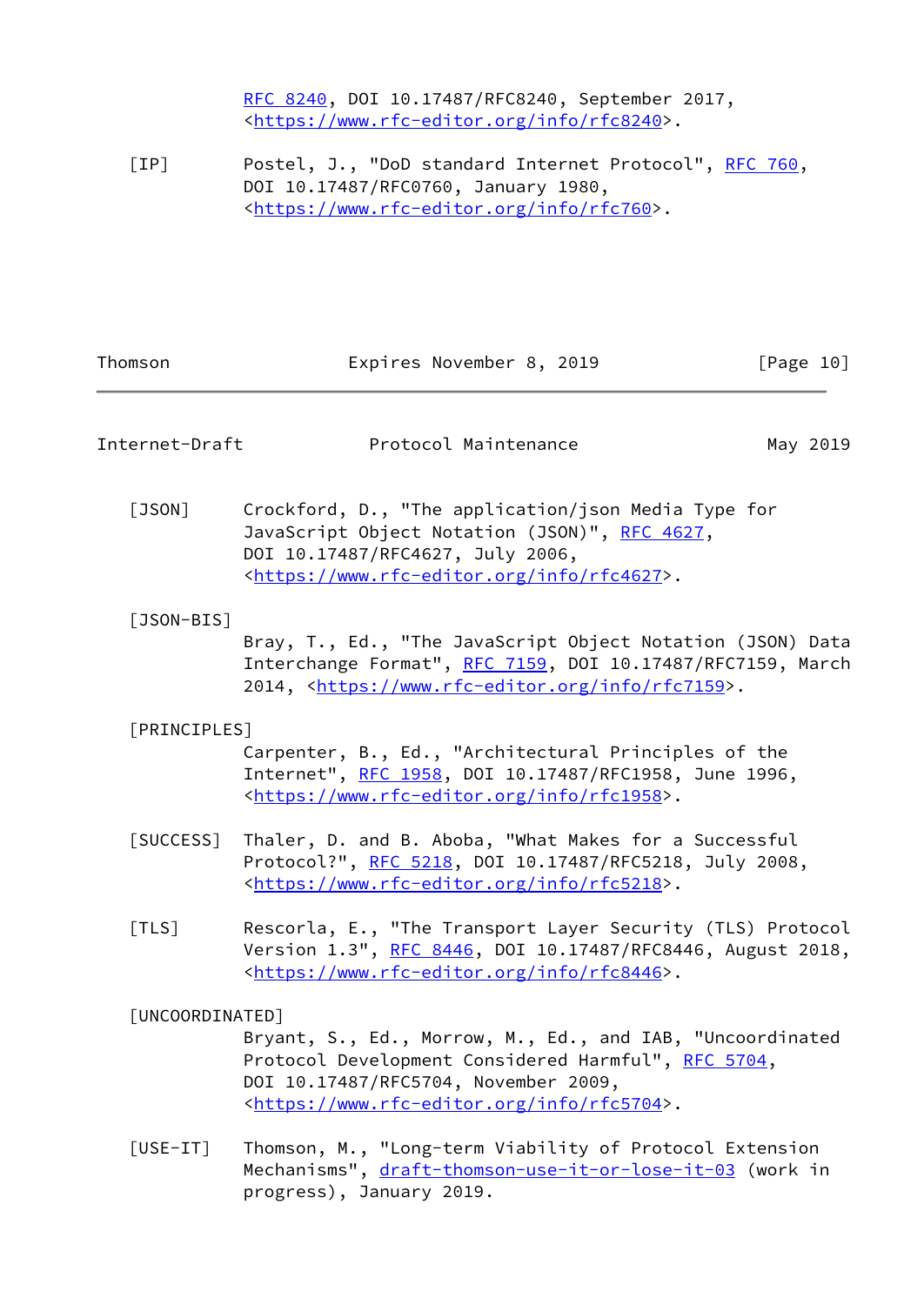[RFC 8240,](https://datatracker.ietf.org/doc/pdf/rfc8240) DOI 10.17487/RFC8240, September 2017, <[https://www.rfc-editor.org/info/rfc8240>](https://www.rfc-editor.org/info/rfc8240).

<span id="page-11-2"></span>[IP] Postel, J., "DoD standard Internet Protocol", [RFC 760](https://datatracker.ietf.org/doc/pdf/rfc760), DOI 10.17487/RFC0760, January 1980, <<https://www.rfc-editor.org/info/rfc760>>.

<span id="page-11-8"></span><span id="page-11-7"></span><span id="page-11-6"></span><span id="page-11-5"></span><span id="page-11-4"></span><span id="page-11-3"></span><span id="page-11-1"></span><span id="page-11-0"></span>

| Thomson         | Expires November 8, 2019                                                                                                                                                                                                | [Page 10] |
|-----------------|-------------------------------------------------------------------------------------------------------------------------------------------------------------------------------------------------------------------------|-----------|
| Internet-Draft  | Protocol Maintenance                                                                                                                                                                                                    | May 2019  |
| $[$ JSON $]$    | Crockford, D., "The application/json Media Type for<br>JavaScript Object Notation (JSON)", RFC 4627,<br>DOI 10.17487/RFC4627, July 2006,<br><https: info="" rfc4627="" www.rfc-editor.org="">.</https:>                 |           |
| $[$ JSON-BIS]   | Bray, T., Ed., "The JavaScript Object Notation (JSON) Data<br>Interchange Format", RFC 7159, DOI 10.17487/RFC7159, March<br>2014, <https: info="" rfc7159="" www.rfc-editor.org="">.</https:>                           |           |
| [PRINCIPLES]    | Carpenter, B., Ed., "Architectural Principles of the<br>Internet", RFC 1958, DOI 10.17487/RFC1958, June 1996,<br><https: info="" rfc1958="" www.rfc-editor.org="">.</https:>                                            |           |
| [SUCCESS]       | Thaler, D. and B. Aboba, "What Makes for a Successful<br>Protocol?", RFC 5218, DOI 10.17487/RFC5218, July 2008,<br><https: info="" rfc5218="" www.rfc-editor.org="">.</https:>                                          |           |
| [TLS]           | Rescorla, E., "The Transport Layer Security (TLS) Protocol<br>Version 1.3", RFC 8446, DOI 10.17487/RFC8446, August 2018,<br><https: info="" rfc8446="" www.rfc-editor.org="">.</https:>                                 |           |
| [UNCOORDINATED] | Bryant, S., Ed., Morrow, M., Ed., and IAB, "Uncoordinated<br>Protocol Development Considered Harmful", RFC 5704,<br>DOI 10.17487/RFC5704, November 2009,<br><https: info="" rfc5704="" www.rfc-editor.org="">.</https:> |           |
| $[USE-TT]$      | Thomson, M., "Long-term Viability of Protocol Extension<br>Mechanisms", draft-thomson-use-it-or-lose-it-03 (work in<br>progress), January 2019.                                                                         |           |